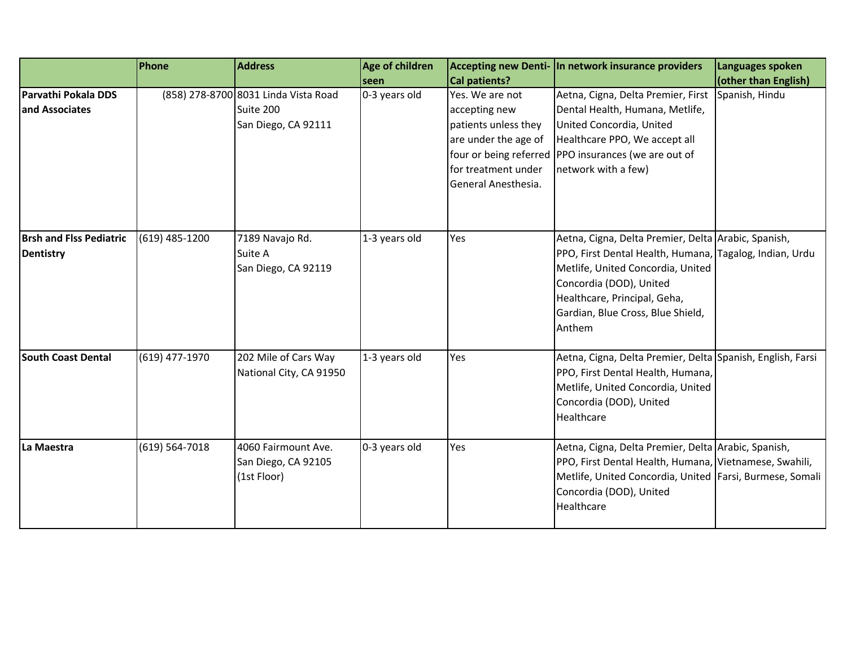|                                             | Phone            | <b>Address</b>                                                           | Age of children       |                                                                                                                                                        | Accepting new Denti- In network insurance providers                                                                                                                                                                                                           | Languages spoken                       |
|---------------------------------------------|------------------|--------------------------------------------------------------------------|-----------------------|--------------------------------------------------------------------------------------------------------------------------------------------------------|---------------------------------------------------------------------------------------------------------------------------------------------------------------------------------------------------------------------------------------------------------------|----------------------------------------|
| Parvathi Pokala DDS<br>and Associates       |                  | (858) 278-8700 8031 Linda Vista Road<br>Suite 200<br>San Diego, CA 92111 | seen<br>0-3 years old | <b>Cal patients?</b><br>Yes. We are not<br>accepting new<br>patients unless they<br>are under the age of<br>for treatment under<br>General Anesthesia. | Aetna, Cigna, Delta Premier, First<br>Dental Health, Humana, Metlife,<br>United Concordia, United<br>Healthcare PPO, We accept all<br>four or being referred PPO insurances (we are out of<br>network with a few)                                             | (other than English)<br>Spanish, Hindu |
| <b>Brsh and Flss Pediatric</b><br>Dentistry | $(619)$ 485-1200 | 7189 Navajo Rd.<br>Suite A<br>San Diego, CA 92119                        | 1-3 years old         | Yes                                                                                                                                                    | Aetna, Cigna, Delta Premier, Delta Arabic, Spanish,<br>PPO, First Dental Health, Humana, Tagalog, Indian, Urdu<br>Metlife, United Concordia, United<br>Concordia (DOD), United<br>Healthcare, Principal, Geha,<br>Gardian, Blue Cross, Blue Shield,<br>Anthem |                                        |
| <b>South Coast Dental</b>                   | (619) 477-1970   | 202 Mile of Cars Way<br>National City, CA 91950                          | 1-3 years old         | Yes                                                                                                                                                    | Aetna, Cigna, Delta Premier, Delta Spanish, English, Farsi<br>PPO, First Dental Health, Humana,<br>Metlife, United Concordia, United<br>Concordia (DOD), United<br>Healthcare                                                                                 |                                        |
| La Maestra                                  | (619) 564-7018   | 4060 Fairmount Ave.<br>San Diego, CA 92105<br>(1st Floor)                | 0-3 years old         | Yes                                                                                                                                                    | Aetna, Cigna, Delta Premier, Delta Arabic, Spanish,<br>PPO, First Dental Health, Humana, Vietnamese, Swahili,<br>Metlife, United Concordia, United Farsi, Burmese, Somali<br>Concordia (DOD), United<br>Healthcare                                            |                                        |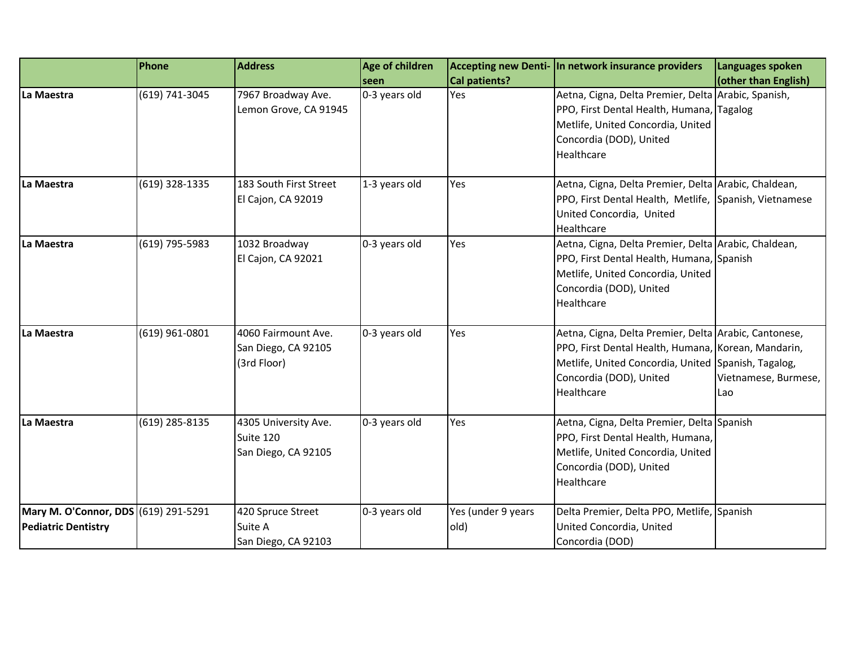|                                                                    | Phone          | <b>Address</b>                                            | Age of children<br>seen | Cal patients?              | Accepting new Denti- In network insurance providers                                                                                                                                                          | Languages spoken<br>(other than English) |
|--------------------------------------------------------------------|----------------|-----------------------------------------------------------|-------------------------|----------------------------|--------------------------------------------------------------------------------------------------------------------------------------------------------------------------------------------------------------|------------------------------------------|
| La Maestra                                                         | (619) 741-3045 | 7967 Broadway Ave.<br>Lemon Grove, CA 91945               | 0-3 years old           | Yes                        | Aetna, Cigna, Delta Premier, Delta Arabic, Spanish,<br>PPO, First Dental Health, Humana, Tagalog<br>Metlife, United Concordia, United<br>Concordia (DOD), United<br>Healthcare                               |                                          |
| La Maestra                                                         | (619) 328-1335 | 183 South First Street<br>El Cajon, CA 92019              | 1-3 years old           | Yes                        | Aetna, Cigna, Delta Premier, Delta Arabic, Chaldean,<br>PPO, First Dental Health, Metlife, Spanish, Vietnamese<br>United Concordia, United<br>Healthcare                                                     |                                          |
| La Maestra                                                         | (619) 795-5983 | 1032 Broadway<br>El Cajon, CA 92021                       | 0-3 years old           | Yes                        | Aetna, Cigna, Delta Premier, Delta Arabic, Chaldean,<br>PPO, First Dental Health, Humana, Spanish<br>Metlife, United Concordia, United<br>Concordia (DOD), United<br>Healthcare                              |                                          |
| La Maestra                                                         | (619) 961-0801 | 4060 Fairmount Ave.<br>San Diego, CA 92105<br>(3rd Floor) | 0-3 years old           | Yes                        | Aetna, Cigna, Delta Premier, Delta Arabic, Cantonese,<br>PPO, First Dental Health, Humana, Korean, Mandarin,<br>Metlife, United Concordia, United Spanish, Tagalog,<br>Concordia (DOD), United<br>Healthcare | Vietnamese, Burmese,<br>Lao              |
| La Maestra                                                         | (619) 285-8135 | 4305 University Ave.<br>Suite 120<br>San Diego, CA 92105  | 0-3 years old           | Yes                        | Aetna, Cigna, Delta Premier, Delta Spanish<br>PPO, First Dental Health, Humana,<br>Metlife, United Concordia, United<br>Concordia (DOD), United<br>Healthcare                                                |                                          |
| Mary M. O'Connor, DDS (619) 291-5291<br><b>Pediatric Dentistry</b> |                | 420 Spruce Street<br>Suite A<br>San Diego, CA 92103       | 0-3 years old           | Yes (under 9 years<br>old) | Delta Premier, Delta PPO, Metlife, Spanish<br>United Concordia, United<br>Concordia (DOD)                                                                                                                    |                                          |